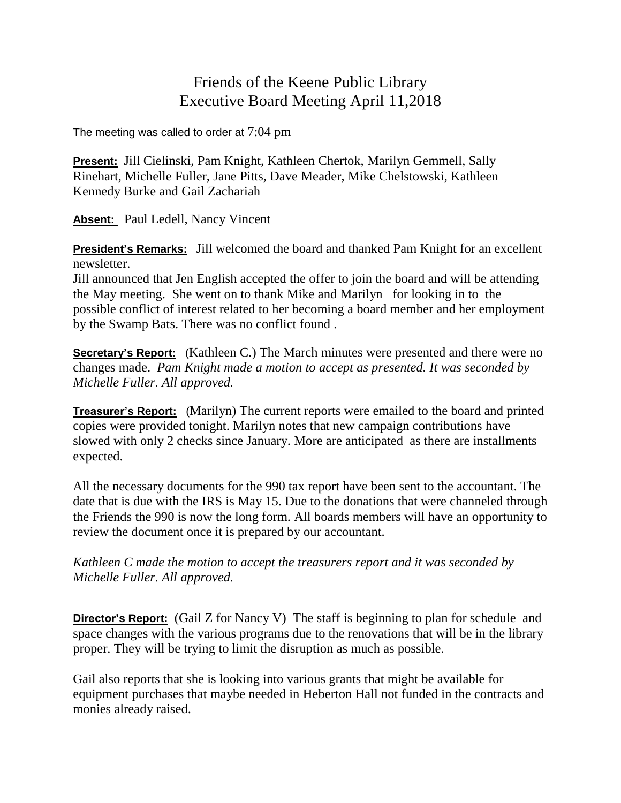## Friends of the Keene Public Library Executive Board Meeting April 11,2018

The meeting was called to order at 7:04 pm

**Present:** Jill Cielinski, Pam Knight, Kathleen Chertok, Marilyn Gemmell, Sally Rinehart, Michelle Fuller, Jane Pitts, Dave Meader, Mike Chelstowski, Kathleen Kennedy Burke and Gail Zachariah

**Absent:** Paul Ledell, Nancy Vincent

**President's Remarks:** Jill welcomed the board and thanked Pam Knight for an excellent newsletter.

Jill announced that Jen English accepted the offer to join the board and will be attending the May meeting. She went on to thank Mike and Marilyn for looking in to the possible conflict of interest related to her becoming a board member and her employment by the Swamp Bats. There was no conflict found .

**Secretary's Report:** (Kathleen C.) The March minutes were presented and there were no changes made. *Pam Knight made a motion to accept as presented. It was seconded by Michelle Fuller. All approved.*

**Treasurer's Report:** (Marilyn) The current reports were emailed to the board and printed copies were provided tonight. Marilyn notes that new campaign contributions have slowed with only 2 checks since January. More are anticipated as there are installments expected.

All the necessary documents for the 990 tax report have been sent to the accountant. The date that is due with the IRS is May 15. Due to the donations that were channeled through the Friends the 990 is now the long form. All boards members will have an opportunity to review the document once it is prepared by our accountant.

*Kathleen C made the motion to accept the treasurers report and it was seconded by Michelle Fuller. All approved.*

**Director's Report:** (Gail Z for Nancy V) The staff is beginning to plan for schedule and space changes with the various programs due to the renovations that will be in the library proper. They will be trying to limit the disruption as much as possible.

Gail also reports that she is looking into various grants that might be available for equipment purchases that maybe needed in Heberton Hall not funded in the contracts and monies already raised.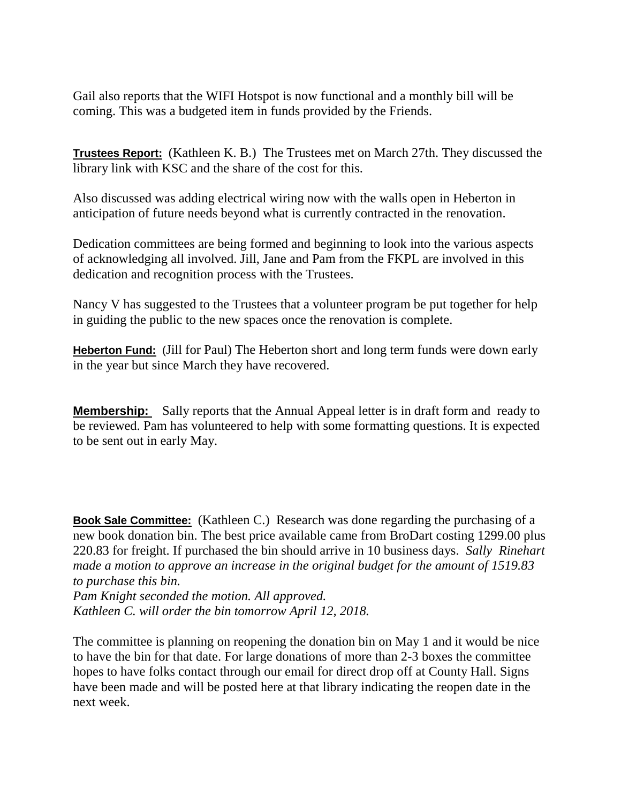Gail also reports that the WIFI Hotspot is now functional and a monthly bill will be coming. This was a budgeted item in funds provided by the Friends.

**Trustees Report:** (Kathleen K. B.) The Trustees met on March 27th. They discussed the library link with KSC and the share of the cost for this.

Also discussed was adding electrical wiring now with the walls open in Heberton in anticipation of future needs beyond what is currently contracted in the renovation.

Dedication committees are being formed and beginning to look into the various aspects of acknowledging all involved. Jill, Jane and Pam from the FKPL are involved in this dedication and recognition process with the Trustees.

Nancy V has suggested to the Trustees that a volunteer program be put together for help in guiding the public to the new spaces once the renovation is complete.

**Heberton Fund:** (Jill for Paul) The Heberton short and long term funds were down early in the year but since March they have recovered.

**Membership:** Sally reports that the Annual Appeal letter is in draft form and ready to be reviewed. Pam has volunteered to help with some formatting questions. It is expected to be sent out in early May.

**Book Sale Committee:** (Kathleen C.) Research was done regarding the purchasing of a new book donation bin. The best price available came from BroDart costing 1299.00 plus 220.83 for freight. If purchased the bin should arrive in 10 business days. *Sally Rinehart made a motion to approve an increase in the original budget for the amount of 1519.83 to purchase this bin.*

*Pam Knight seconded the motion. All approved. Kathleen C. will order the bin tomorrow April 12, 2018.*

The committee is planning on reopening the donation bin on May 1 and it would be nice to have the bin for that date. For large donations of more than 2-3 boxes the committee hopes to have folks contact through our email for direct drop off at County Hall. Signs have been made and will be posted here at that library indicating the reopen date in the next week.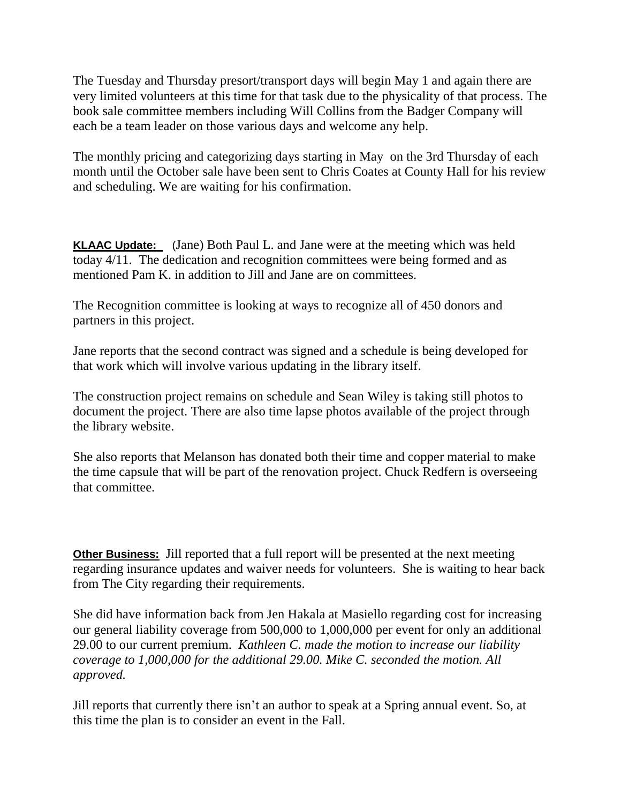The Tuesday and Thursday presort/transport days will begin May 1 and again there are very limited volunteers at this time for that task due to the physicality of that process. The book sale committee members including Will Collins from the Badger Company will each be a team leader on those various days and welcome any help.

The monthly pricing and categorizing days starting in May on the 3rd Thursday of each month until the October sale have been sent to Chris Coates at County Hall for his review and scheduling. We are waiting for his confirmation.

**KLAAC Update:** (Jane) Both Paul L. and Jane were at the meeting which was held today 4/11. The dedication and recognition committees were being formed and as mentioned Pam K. in addition to Jill and Jane are on committees.

The Recognition committee is looking at ways to recognize all of 450 donors and partners in this project.

Jane reports that the second contract was signed and a schedule is being developed for that work which will involve various updating in the library itself.

The construction project remains on schedule and Sean Wiley is taking still photos to document the project. There are also time lapse photos available of the project through the library website.

She also reports that Melanson has donated both their time and copper material to make the time capsule that will be part of the renovation project. Chuck Redfern is overseeing that committee.

**Other Business:** Jill reported that a full report will be presented at the next meeting regarding insurance updates and waiver needs for volunteers. She is waiting to hear back from The City regarding their requirements.

She did have information back from Jen Hakala at Masiello regarding cost for increasing our general liability coverage from 500,000 to 1,000,000 per event for only an additional 29.00 to our current premium. *Kathleen C. made the motion to increase our liability coverage to 1,000,000 for the additional 29.00. Mike C. seconded the motion. All approved.*

Jill reports that currently there isn't an author to speak at a Spring annual event. So, at this time the plan is to consider an event in the Fall.